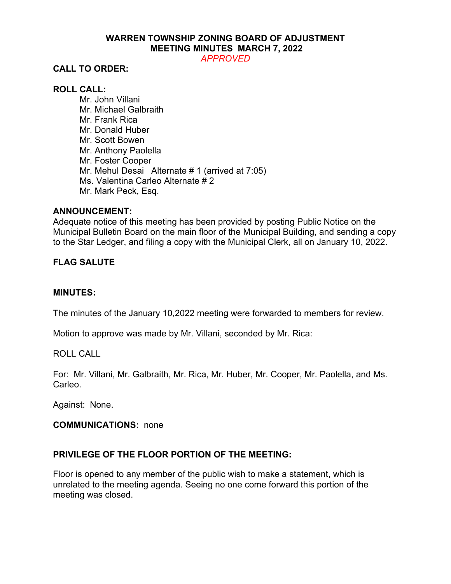# **WARREN TOWNSHIP ZONING BOARD OF ADJUSTMENT MEETING MINUTES MARCH 7, 2022**

*APPROVED*

# **CALL TO ORDER:**

### **ROLL CALL:**

Mr. John Villani Mr. Michael Galbraith Mr. Frank Rica Mr. Donald Huber Mr. Scott Bowen Mr. Anthony Paolella Mr. Foster Cooper Mr. Mehul Desai Alternate # 1 (arrived at 7:05) Ms. Valentina Carleo Alternate # 2 Mr. Mark Peck, Esq.

#### **ANNOUNCEMENT:**

Adequate notice of this meeting has been provided by posting Public Notice on the Municipal Bulletin Board on the main floor of the Municipal Building, and sending a copy to the Star Ledger, and filing a copy with the Municipal Clerk, all on January 10, 2022.

### **FLAG SALUTE**

#### **MINUTES:**

The minutes of the January 10,2022 meeting were forwarded to members for review.

Motion to approve was made by Mr. Villani, seconded by Mr. Rica:

#### ROLL CALL

For: Mr. Villani, Mr. Galbraith, Mr. Rica, Mr. Huber, Mr. Cooper, Mr. Paolella, and Ms. Carleo.

Against: None.

#### **COMMUNICATIONS:** none

# **PRIVILEGE OF THE FLOOR PORTION OF THE MEETING:**

Floor is opened to any member of the public wish to make a statement, which is unrelated to the meeting agenda. Seeing no one come forward this portion of the meeting was closed.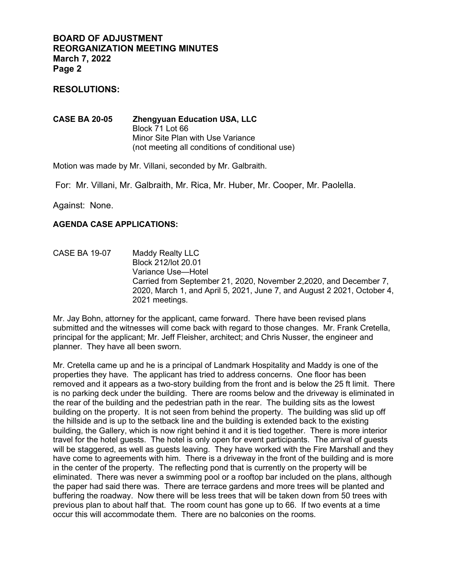### **RESOLUTIONS:**

**CASE BA 20-05 Zhengyuan Education USA, LLC** Block 71 Lot 66 Minor Site Plan with Use Variance (not meeting all conditions of conditional use)

Motion was made by Mr. Villani, seconded by Mr. Galbraith.

For: Mr. Villani, Mr. Galbraith, Mr. Rica, Mr. Huber, Mr. Cooper, Mr. Paolella.

Against: None.

#### **AGENDA CASE APPLICATIONS:**

CASE BA 19-07 Maddy Realty LLC Block 212/lot 20.01 Variance Use—Hotel Carried from September 21, 2020, November 2,2020, and December 7, 2020, March 1, and April 5, 2021, June 7, and August 2 2021, October 4, 2021 meetings.

Mr. Jay Bohn, attorney for the applicant, came forward. There have been revised plans submitted and the witnesses will come back with regard to those changes. Mr. Frank Cretella, principal for the applicant; Mr. Jeff Fleisher, architect; and Chris Nusser, the engineer and planner. They have all been sworn.

Mr. Cretella came up and he is a principal of Landmark Hospitality and Maddy is one of the properties they have. The applicant has tried to address concerns. One floor has been removed and it appears as a two-story building from the front and is below the 25 ft limit. There is no parking deck under the building. There are rooms below and the driveway is eliminated in the rear of the building and the pedestrian path in the rear. The building sits as the lowest building on the property. It is not seen from behind the property. The building was slid up off the hillside and is up to the setback line and the building is extended back to the existing building, the Gallery, which is now right behind it and it is tied together. There is more interior travel for the hotel guests. The hotel is only open for event participants. The arrival of guests will be staggered, as well as guests leaving. They have worked with the Fire Marshall and they have come to agreements with him. There is a driveway in the front of the building and is more in the center of the property. The reflecting pond that is currently on the property will be eliminated. There was never a swimming pool or a rooftop bar included on the plans, although the paper had said there was. There are terrace gardens and more trees will be planted and buffering the roadway. Now there will be less trees that will be taken down from 50 trees with previous plan to about half that. The room count has gone up to 66. If two events at a time occur this will accommodate them. There are no balconies on the rooms.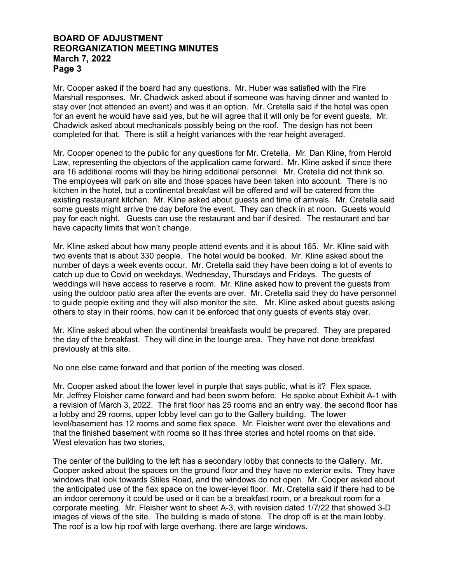Mr. Cooper asked if the board had any questions. Mr. Huber was satisfied with the Fire Marshall responses. Mr. Chadwick asked about if someone was having dinner and wanted to stay over (not attended an event) and was it an option. Mr. Cretella said if the hotel was open for an event he would have said yes, but he will agree that it will only be for event guests. Mr. Chadwick asked about mechanicals possibly being on the roof. The design has not been completed for that. There is still a height variances with the rear height averaged.

Mr. Cooper opened to the public for any questions for Mr. Cretella. Mr. Dan Kline, from Herold Law, representing the objectors of the application came forward. Mr. Kline asked if since there are 16 additional rooms will they be hiring additional personnel. Mr. Cretella did not think so. The employees will park on site and those spaces have been taken into account. There is no kitchen in the hotel, but a continental breakfast will be offered and will be catered from the existing restaurant kitchen. Mr. Kline asked about guests and time of arrivals. Mr. Cretella said some guests might arrive the day before the event. They can check in at noon. Guests would pay for each night. Guests can use the restaurant and bar if desired. The restaurant and bar have capacity limits that won't change.

Mr. Kline asked about how many people attend events and it is about 165. Mr. Kline said with two events that is about 330 people. The hotel would be booked. Mr. Kline asked about the number of days a week events occur. Mr. Cretella said they have been doing a lot of events to catch up due to Covid on weekdays, Wednesday, Thursdays and Fridays. The guests of weddings will have access to reserve a room. Mr. Kline asked how to prevent the guests from using the outdoor patio area after the events are over. Mr. Cretella said they do have personnel to guide people exiting and they will also monitor the site. Mr. Kline asked about guests asking others to stay in their rooms, how can it be enforced that only guests of events stay over.

Mr. Kline asked about when the continental breakfasts would be prepared. They are prepared the day of the breakfast. They will dine in the lounge area. They have not done breakfast previously at this site.

No one else came forward and that portion of the meeting was closed.

Mr. Cooper asked about the lower level in purple that says public, what is it? Flex space. Mr. Jeffrey Fleisher came forward and had been sworn before. He spoke about Exhibit A-1 with a revision of March 3, 2022. The first floor has 25 rooms and an entry way, the second floor has a lobby and 29 rooms, upper lobby level can go to the Gallery building. The lower level/basement has 12 rooms and some flex space. Mr. Fleisher went over the elevations and that the finished basement with rooms so it has three stories and hotel rooms on that side. West elevation has two stories,

The center of the building to the left has a secondary lobby that connects to the Gallery. Mr. Cooper asked about the spaces on the ground floor and they have no exterior exits. They have windows that look towards Stiles Road, and the windows do not open. Mr. Cooper asked about the anticipated use of the flex space on the lower-level floor. Mr. Cretella said if there had to be an indoor ceremony it could be used or it can be a breakfast room, or a breakout room for a corporate meeting. Mr. Fleisher went to sheet A-3, with revision dated 1/7/22 that showed 3-D images of views of the site. The building is made of stone. The drop off is at the main lobby. The roof is a low hip roof with large overhang, there are large windows.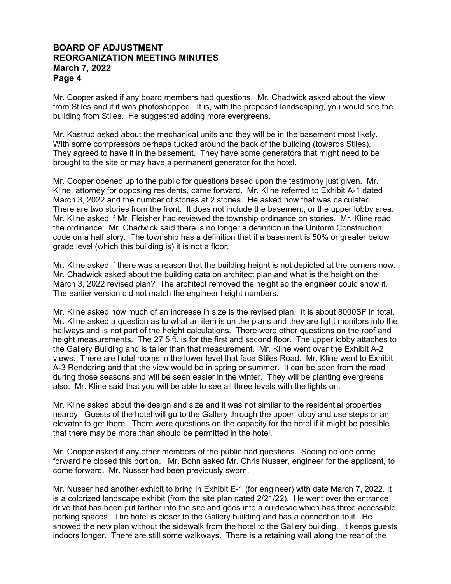Mr. Cooper asked if any board members had questions. Mr. Chadwick asked about the view from Stiles and if it was photoshopped. It is, with the proposed landscaping, you would see the building from Stiles. He suggested adding more evergreens.

Mr. Kastrud asked about the mechanical units and they will be in the basement most likely. With some compressors perhaps tucked around the back of the building (towards Stiles). They agreed to have it in the basement. They have some generators that might need to be brought to the site or may have a permanent generator for the hotel.

Mr. Cooper opened up to the public for questions based upon the testimony just given. Mr. Kline, attorney for opposing residents, came forward. Mr. Kline referred to Exhibit A-1 dated March 3, 2022 and the number of stories at 2 stories. He asked how that was calculated. There are two stories from the front. It does not include the basement, or the upper lobby area. Mr. Kline asked if Mr. Fleisher had reviewed the township ordinance on stories. Mr. Kline read the ordinance. Mr. Chadwick said there is no longer a definition in the Uniform Construction code on a half story. The township has a definition that if a basement is 50% or greater below grade level (which this building is) it is not a floor.

Mr. Kline asked if there was a reason that the building height is not depicted at the corners now. Mr. Chadwick asked about the building data on architect plan and what is the height on the March 3, 2022 revised plan? The architect removed the height so the engineer could show it. The earlier version did not match the engineer height numbers.

Mr. Kline asked how much of an increase in size is the revised plan. It is about 8000SF in total. Mr. Kline asked a question as to what an item is on the plans and they are light monitors into the hallways and is not part of the height calculations. There were other questions on the roof and height measurements. The 27.5 ft. is for the first and second floor. The upper lobby attaches to the Gallery Building and is taller than that measurement. Mr. Kline went over the Exhibit A-2 views. There are hotel rooms in the lower level that face Stiles Road. Mr. Kline went to Exhibit A-3 Rendering and that the view would be in spring or summer. It can be seen from the road during those seasons and will be seen easier in the winter. They will be planting evergreens also. Mr. Kline said that you will be able to see all three levels with the lights on.

Mr. Kline asked about the design and size and it was not similar to the residential properties nearby. Guests of the hotel will go to the Gallery through the upper lobby and use steps or an elevator to get there. There were questions on the capacity for the hotel if it might be possible that there may be more than should be permitted in the hotel.

Mr. Cooper asked if any other members of the public had questions. Seeing no one come forward he closed this portion. Mr. Bohn asked Mr. Chris Nusser, engineer for the applicant, to come forward. Mr. Nusser had been previously sworn.

Mr. Nusser had another exhibit to bring in Exhibit E-1 (for engineer) with date March 7, 2022. It is a colorized landscape exhibit (from the site plan dated 2/21/22). He went over the entrance drive that has been put farther into the site and goes into a culdesac which has three accessible parking spaces. The hotel is closer to the Gallery building and has a connection to it. He showed the new plan without the sidewalk from the hotel to the Gallery building. It keeps guests indoors longer. There are still some walkways. There is a retaining wall along the rear of the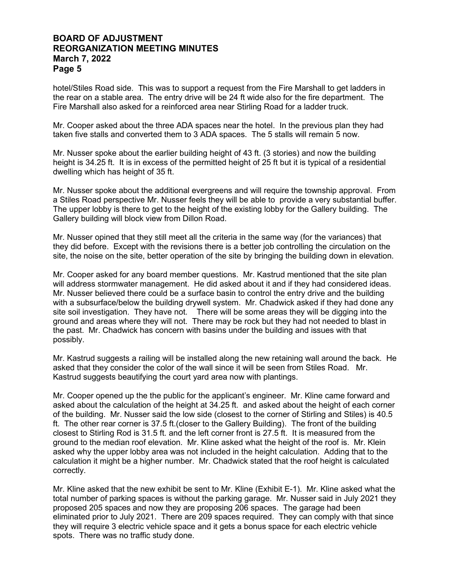hotel/Stiles Road side. This was to support a request from the Fire Marshall to get ladders in the rear on a stable area. The entry drive will be 24 ft wide also for the fire department. The Fire Marshall also asked for a reinforced area near Stirling Road for a ladder truck.

Mr. Cooper asked about the three ADA spaces near the hotel. In the previous plan they had taken five stalls and converted them to 3 ADA spaces. The 5 stalls will remain 5 now.

Mr. Nusser spoke about the earlier building height of 43 ft. (3 stories) and now the building height is 34.25 ft. It is in excess of the permitted height of 25 ft but it is typical of a residential dwelling which has height of 35 ft.

Mr. Nusser spoke about the additional evergreens and will require the township approval. From a Stiles Road perspective Mr. Nusser feels they will be able to provide a very substantial buffer. The upper lobby is there to get to the height of the existing lobby for the Gallery building. The Gallery building will block view from Dillon Road.

Mr. Nusser opined that they still meet all the criteria in the same way (for the variances) that they did before. Except with the revisions there is a better job controlling the circulation on the site, the noise on the site, better operation of the site by bringing the building down in elevation.

Mr. Cooper asked for any board member questions. Mr. Kastrud mentioned that the site plan will address stormwater management. He did asked about it and if they had considered ideas. Mr. Nusser believed there could be a surface basin to control the entry drive and the building with a subsurface/below the building drywell system. Mr. Chadwick asked if they had done any site soil investigation. They have not. There will be some areas they will be digging into the ground and areas where they will not. There may be rock but they had not needed to blast in the past. Mr. Chadwick has concern with basins under the building and issues with that possibly.

Mr. Kastrud suggests a railing will be installed along the new retaining wall around the back. He asked that they consider the color of the wall since it will be seen from Stiles Road. Mr. Kastrud suggests beautifying the court yard area now with plantings.

Mr. Cooper opened up the the public for the applicant's engineer. Mr. Kline came forward and asked about the calculation of the height at 34.25 ft. and asked about the height of each corner of the building. Mr. Nusser said the low side (closest to the corner of Stirling and Stiles) is 40.5 ft. The other rear corner is 37.5 ft.(closer to the Gallery Building). The front of the building closest to Stirling Rod is 31.5 ft. and the left corner front is 27.5 ft. It is measured from the ground to the median roof elevation. Mr. Kline asked what the height of the roof is. Mr. Klein asked why the upper lobby area was not included in the height calculation. Adding that to the calculation it might be a higher number. Mr. Chadwick stated that the roof height is calculated correctly.

Mr. Kline asked that the new exhibit be sent to Mr. Kline (Exhibit E-1). Mr. Kline asked what the total number of parking spaces is without the parking garage. Mr. Nusser said in July 2021 they proposed 205 spaces and now they are proposing 206 spaces. The garage had been eliminated prior to July 2021. There are 209 spaces required. They can comply with that since they will require 3 electric vehicle space and it gets a bonus space for each electric vehicle spots. There was no traffic study done.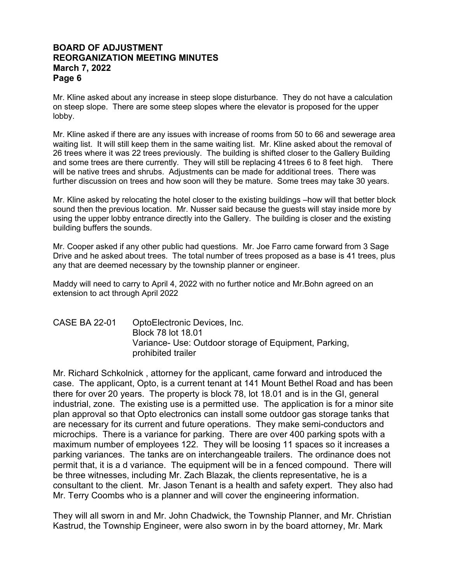Mr. Kline asked about any increase in steep slope disturbance. They do not have a calculation on steep slope. There are some steep slopes where the elevator is proposed for the upper lobby.

Mr. Kline asked if there are any issues with increase of rooms from 50 to 66 and sewerage area waiting list. It will still keep them in the same waiting list. Mr. Kline asked about the removal of 26 trees where it was 22 trees previously. The building is shifted closer to the Gallery Building and some trees are there currently. They will still be replacing 41trees 6 to 8 feet high. There will be native trees and shrubs. Adjustments can be made for additional trees. There was further discussion on trees and how soon will they be mature. Some trees may take 30 years.

Mr. Kline asked by relocating the hotel closer to the existing buildings –how will that better block sound then the previous location. Mr. Nusser said because the guests will stay inside more by using the upper lobby entrance directly into the Gallery. The building is closer and the existing building buffers the sounds.

Mr. Cooper asked if any other public had questions. Mr. Joe Farro came forward from 3 Sage Drive and he asked about trees. The total number of trees proposed as a base is 41 trees, plus any that are deemed necessary by the township planner or engineer.

Maddy will need to carry to April 4, 2022 with no further notice and Mr.Bohn agreed on an extension to act through April 2022

CASE BA 22-01 OptoElectronic Devices, Inc. Block 78 lot 18.01 Variance- Use: Outdoor storage of Equipment, Parking, prohibited trailer

Mr. Richard Schkolnick , attorney for the applicant, came forward and introduced the case. The applicant, Opto, is a current tenant at 141 Mount Bethel Road and has been there for over 20 years. The property is block 78, lot 18.01 and is in the GI, general industrial, zone. The existing use is a permitted use. The application is for a minor site plan approval so that Opto electronics can install some outdoor gas storage tanks that are necessary for its current and future operations. They make semi-conductors and microchips. There is a variance for parking. There are over 400 parking spots with a maximum number of employees 122. They will be loosing 11 spaces so it increases a parking variances. The tanks are on interchangeable trailers. The ordinance does not permit that, it is a d variance. The equipment will be in a fenced compound. There will be three witnesses, including Mr. Zach Blazak, the clients representative, he is a consultant to the client. Mr. Jason Tenant is a health and safety expert. They also had Mr. Terry Coombs who is a planner and will cover the engineering information.

They will all sworn in and Mr. John Chadwick, the Township Planner, and Mr. Christian Kastrud, the Township Engineer, were also sworn in by the board attorney, Mr. Mark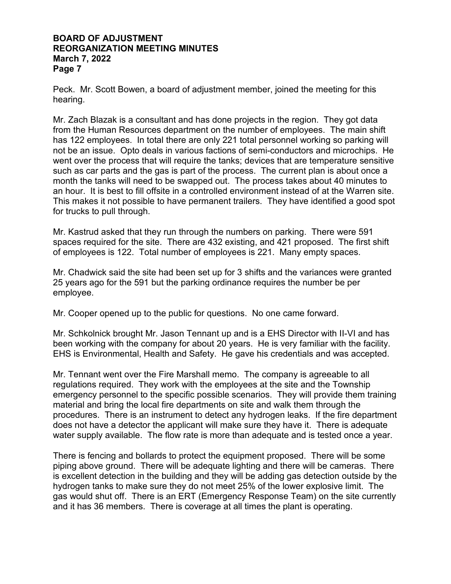Peck. Mr. Scott Bowen, a board of adjustment member, joined the meeting for this hearing.

Mr. Zach Blazak is a consultant and has done projects in the region. They got data from the Human Resources department on the number of employees. The main shift has 122 employees. In total there are only 221 total personnel working so parking will not be an issue. Opto deals in various factions of semi-conductors and microchips. He went over the process that will require the tanks; devices that are temperature sensitive such as car parts and the gas is part of the process. The current plan is about once a month the tanks will need to be swapped out. The process takes about 40 minutes to an hour. It is best to fill offsite in a controlled environment instead of at the Warren site. This makes it not possible to have permanent trailers. They have identified a good spot for trucks to pull through.

Mr. Kastrud asked that they run through the numbers on parking. There were 591 spaces required for the site. There are 432 existing, and 421 proposed. The first shift of employees is 122. Total number of employees is 221. Many empty spaces.

Mr. Chadwick said the site had been set up for 3 shifts and the variances were granted 25 years ago for the 591 but the parking ordinance requires the number be per employee.

Mr. Cooper opened up to the public for questions. No one came forward.

Mr. Schkolnick brought Mr. Jason Tennant up and is a EHS Director with II-VI and has been working with the company for about 20 years. He is very familiar with the facility. EHS is Environmental, Health and Safety. He gave his credentials and was accepted.

Mr. Tennant went over the Fire Marshall memo. The company is agreeable to all regulations required. They work with the employees at the site and the Township emergency personnel to the specific possible scenarios. They will provide them training material and bring the local fire departments on site and walk them through the procedures. There is an instrument to detect any hydrogen leaks. If the fire department does not have a detector the applicant will make sure they have it. There is adequate water supply available. The flow rate is more than adequate and is tested once a year.

There is fencing and bollards to protect the equipment proposed. There will be some piping above ground. There will be adequate lighting and there will be cameras. There is excellent detection in the building and they will be adding gas detection outside by the hydrogen tanks to make sure they do not meet 25% of the lower explosive limit. The gas would shut off. There is an ERT (Emergency Response Team) on the site currently and it has 36 members. There is coverage at all times the plant is operating.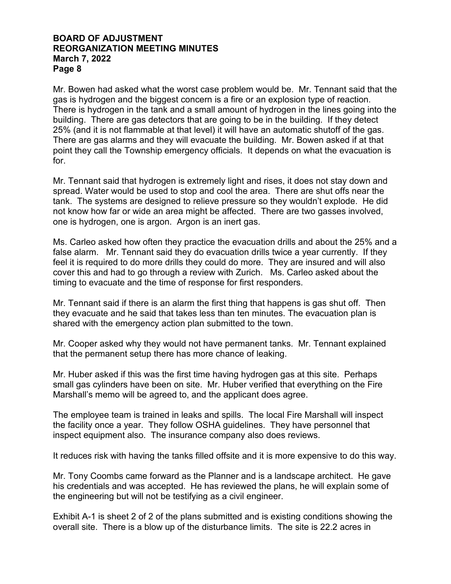Mr. Bowen had asked what the worst case problem would be. Mr. Tennant said that the gas is hydrogen and the biggest concern is a fire or an explosion type of reaction. There is hydrogen in the tank and a small amount of hydrogen in the lines going into the building. There are gas detectors that are going to be in the building. If they detect 25% (and it is not flammable at that level) it will have an automatic shutoff of the gas. There are gas alarms and they will evacuate the building. Mr. Bowen asked if at that point they call the Township emergency officials. It depends on what the evacuation is for.

Mr. Tennant said that hydrogen is extremely light and rises, it does not stay down and spread. Water would be used to stop and cool the area. There are shut offs near the tank. The systems are designed to relieve pressure so they wouldn't explode. He did not know how far or wide an area might be affected. There are two gasses involved, one is hydrogen, one is argon. Argon is an inert gas.

Ms. Carleo asked how often they practice the evacuation drills and about the 25% and a false alarm. Mr. Tennant said they do evacuation drills twice a year currently. If they feel it is required to do more drills they could do more. They are insured and will also cover this and had to go through a review with Zurich. Ms. Carleo asked about the timing to evacuate and the time of response for first responders.

Mr. Tennant said if there is an alarm the first thing that happens is gas shut off. Then they evacuate and he said that takes less than ten minutes. The evacuation plan is shared with the emergency action plan submitted to the town.

Mr. Cooper asked why they would not have permanent tanks. Mr. Tennant explained that the permanent setup there has more chance of leaking.

Mr. Huber asked if this was the first time having hydrogen gas at this site. Perhaps small gas cylinders have been on site. Mr. Huber verified that everything on the Fire Marshall's memo will be agreed to, and the applicant does agree.

The employee team is trained in leaks and spills. The local Fire Marshall will inspect the facility once a year. They follow OSHA guidelines. They have personnel that inspect equipment also. The insurance company also does reviews.

It reduces risk with having the tanks filled offsite and it is more expensive to do this way.

Mr. Tony Coombs came forward as the Planner and is a landscape architect. He gave his credentials and was accepted. He has reviewed the plans, he will explain some of the engineering but will not be testifying as a civil engineer.

Exhibit A-1 is sheet 2 of 2 of the plans submitted and is existing conditions showing the overall site. There is a blow up of the disturbance limits. The site is 22.2 acres in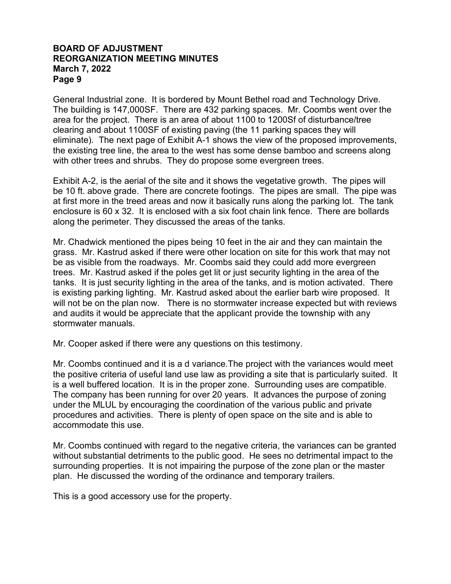General Industrial zone. It is bordered by Mount Bethel road and Technology Drive. The building is 147,000SF. There are 432 parking spaces. Mr. Coombs went over the area for the project. There is an area of about 1100 to 1200Sf of disturbance/tree clearing and about 1100SF of existing paving (the 11 parking spaces they will eliminate). The next page of Exhibit A-1 shows the view of the proposed improvements, the existing tree line, the area to the west has some dense bamboo and screens along with other trees and shrubs. They do propose some evergreen trees.

Exhibit A-2, is the aerial of the site and it shows the vegetative growth. The pipes will be 10 ft. above grade. There are concrete footings. The pipes are small. The pipe was at first more in the treed areas and now it basically runs along the parking lot. The tank enclosure is 60 x 32. It is enclosed with a six foot chain link fence. There are bollards along the perimeter. They discussed the areas of the tanks.

Mr. Chadwick mentioned the pipes being 10 feet in the air and they can maintain the grass. Mr. Kastrud asked if there were other location on site for this work that may not be as visible from the roadways. Mr. Coombs said they could add more evergreen trees. Mr. Kastrud asked if the poles get lit or just security lighting in the area of the tanks. It is just security lighting in the area of the tanks, and is motion activated. There is existing parking lighting. Mr. Kastrud asked about the earlier barb wire proposed. It will not be on the plan now. There is no stormwater increase expected but with reviews and audits it would be appreciate that the applicant provide the township with any stormwater manuals.

Mr. Cooper asked if there were any questions on this testimony.

Mr. Coombs continued and it is a d variance.The project with the variances would meet the positive criteria of useful land use law as providing a site that is particularly suited. It is a well buffered location. It is in the proper zone. Surrounding uses are compatible. The company has been running for over 20 years. It advances the purpose of zoning under the MLUL by encouraging the coordination of the various public and private procedures and activities. There is plenty of open space on the site and is able to accommodate this use.

Mr. Coombs continued with regard to the negative criteria, the variances can be granted without substantial detriments to the public good. He sees no detrimental impact to the surrounding properties. It is not impairing the purpose of the zone plan or the master plan. He discussed the wording of the ordinance and temporary trailers.

This is a good accessory use for the property.